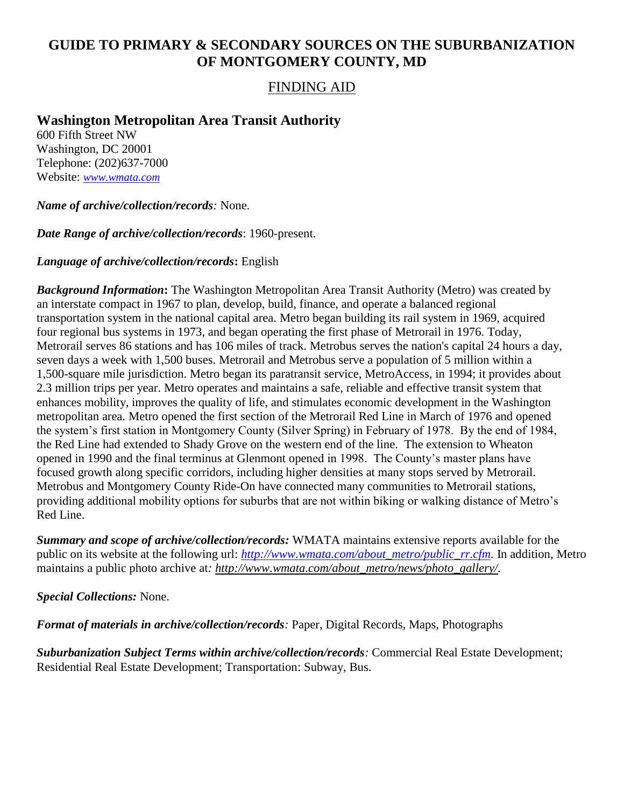# **GUIDE TO PRIMARY & SECONDARY SOURCES ON THE SUBURBANIZATION OF MONTGOMERY COUNTY, MD**

### FINDING AID

## **Washington Metropolitan Area Transit Authority**

600 Fifth Street NW Washington, DC 20001 Telephone: (202)637-7000 Website: *[www.wmata.com](http://www.wmata.com/)*

*Name of archive/collection/records:* None.

*Date Range of archive/collection/records*: 1960-present.

#### *Language of archive/collection/records***:** English

*Background Information***:** The Washington Metropolitan Area Transit Authority (Metro) was created by an interstate compact in 1967 to plan, develop, build, finance, and operate a balanced regional transportation system in the national capital area. Metro began building its rail system in 1969, acquired four regional bus systems in 1973, and began operating the first phase of Metrorail in 1976. Today, Metrorail serves 86 stations and has 106 miles of track. Metrobus serves the nation's capital 24 hours a day, seven days a week with 1,500 buses. Metrorail and Metrobus serve a population of 5 million within a 1,500-square mile jurisdiction. Metro began its paratransit service, MetroAccess, in 1994; it provides about 2.3 million trips per year. Metro operates and maintains a safe, reliable and effective transit system that enhances mobility, improves the quality of life, and stimulates economic development in the Washington metropolitan area. Metro opened the first section of the Metrorail Red Line in March of 1976 and opened the system's first station in Montgomery County (Silver Spring) in February of 1978. By the end of 1984, the Red Line had extended to Shady Grove on the western end of the line. The extension to Wheaton opened in 1990 and the final terminus at Glenmont opened in 1998. The County's master plans have focused growth along specific corridors, including higher densities at many stops served by Metrorail. Metrobus and Montgomery County Ride-On have connected many communities to Metrorail stations, providing additional mobility options for suburbs that are not within biking or walking distance of Metro's Red Line.

*Summary and scope of archive/collection/records:* WMATA maintains extensive reports available for the public on its website at the following url: *[http://www.wmata.com/about\\_metro/public\\_rr.cfm.](http://www.wmata.com/about_metro/public_rr.cfm)* In addition, Metro maintains a public photo archive at: http://www.wmata.com/about\_metro/news/photo\_gallery/.

*Special Collections:* None.

*Format of materials in archive/collection/records:* Paper, Digital Records, Maps, Photographs

*Suburbanization Subject Terms within archive/collection/records:* Commercial Real Estate Development; Residential Real Estate Development; Transportation: Subway, Bus.